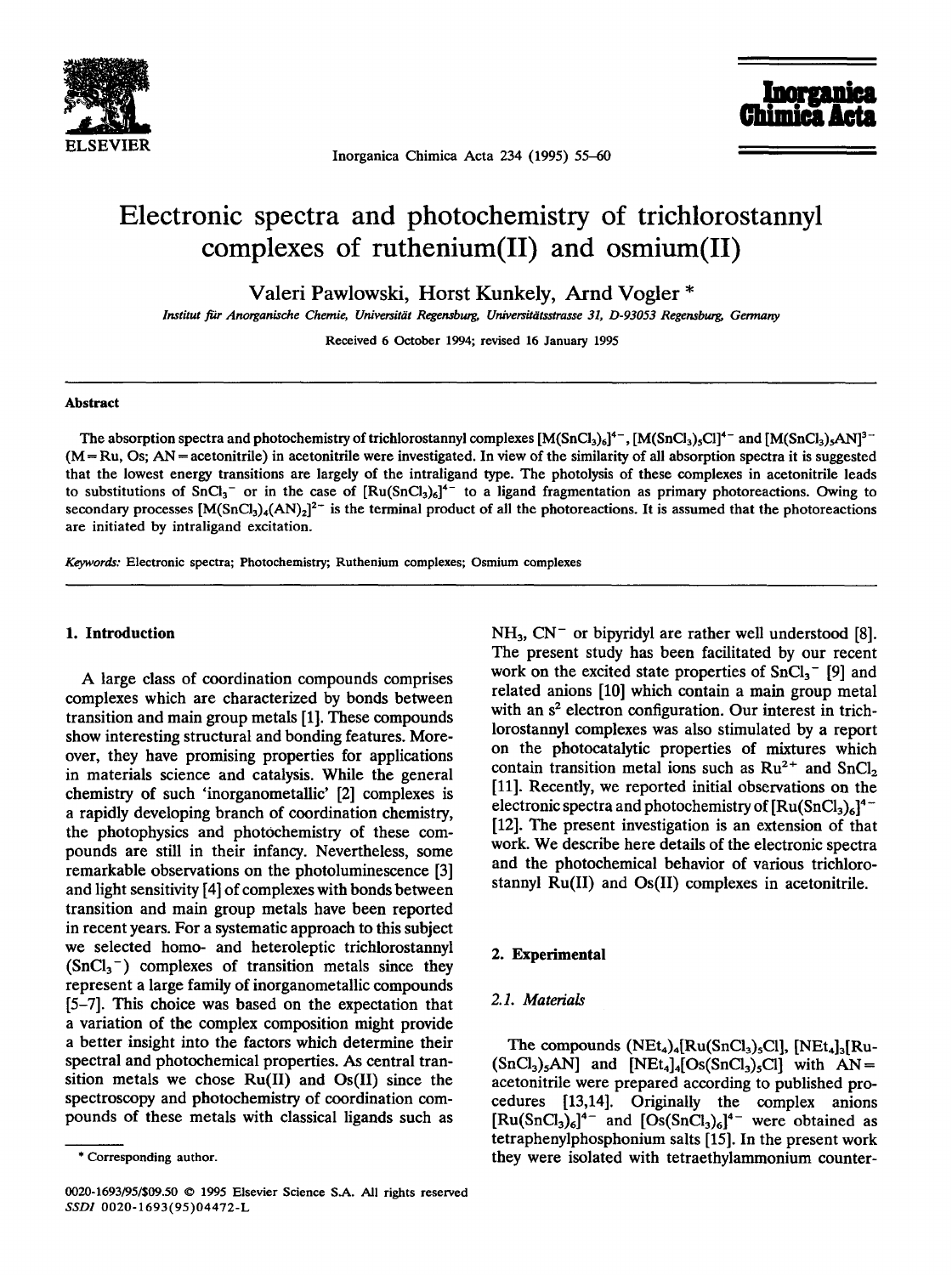

ELSEVIER<br>Inorganica Chimica Acta 234 (1995) 55–60

Inorgani

# **Electronic spectra and photochemistry of trichlorostannyl complexes of ruthenium(II) and osmium(II)**

**Valeri Pawlowski, Horst Kunkely, Arnd Vogler \*** 

*Institut far Anorganische Chemie, Universitiit Regenaburg, Universitatsstrasse 31, D-93053 Regensburg, Germany* 

Received 6 October 1994; revised 16 January 1995

#### **Abstract**

The absorption spectra and photochemistry of trichlorostannyl complexes  $[M(SnCl_3)_6]^{4-}$ ,  $[M(SnCl_3)_5Cl]^{4-}$  and  $[M(SnCl_3)_5AN]^{3-}$  $(M = Ru, Os; AN = acetonitrile)$  in acetonitrile were investigated. In view of the similarity of all absorption spectra it is suggested that the lowest energy transitions are largely of the intraligand type. The photolysis of these complexes in acetonitrile leads to substitutions of  $SnCl<sub>3</sub>^-$  or in the case of  $[Ru(SnCl<sub>3</sub>)<sub>6</sub>]<sup>4-</sup>$  to a ligand fragmentation as primary photoreactions. Owing to secondary processes  $[M(SnCl<sub>3</sub>)<sub>4</sub>(AN)<sub>2</sub>]<sup>2-</sup>$  is the terminal product of all the photoreactions. It is assumed that the photoreactions are initiated by intraligand excitation.

*Keywords:* Electronic spectra; Photochemistry; Ruthenium complexes; Osmium complexes

#### **1. Introduction**

A large class of coordination compounds comprises complexes which are characterized by bonds between transition and main group metals [1]. These compounds show interesting structural and bonding features. Moreover, they have promising properties for applications in materials science and catalysis. While the general chemistry of such 'inorganometallic' [2] complexes is a rapidly developing branch of coordination chemistry, the photophysics and photochemistry of these compounds are still in their infancy. Nevertheless, some remarkable observations on the photoluminescence [3] and light sensitivity [4] of complexes with bonds between transition and main group metals have been reported in recent years. For a systematic approach to this subject we selected homo- and heteroleptic trichlorostannyl  $(SnCl<sub>3</sub><sup>-</sup>)$  complexes of transition metals since they represent a large family of inorganometallic compounds [5-7]. This choice was based on the expectation that a variation of the complex composition might provide a better insight into the factors which determine their spectral and photochemical properties. As central transition metals we chose Ru(II) and Os(II) since the spectroscopy and photochemistry of coordination compounds of these metals with classical ligands such as  $NH<sub>3</sub>$ , CN<sup>-</sup> or bipyridyl are rather well understood [8]. The present study has been facilitated by our recent work on the excited state properties of  $SnCl<sub>3</sub><sup>-</sup>$  [9] and related anions [10] which contain a main group metal with an  $s<sup>2</sup>$  electron configuration. Our interest in trichlorostannyl complexes was also stimulated by a report on the photocatalytic properties of mixtures which contain transition metal ions such as  $Ru^{2+}$  and  $SnCl<sub>2</sub>$ [11]. Recently, we reported initial observations on the electronic spectra and photochemistry of  $\left[\text{Ru(SnCl<sub>3</sub>)<sub>6</sub>}\right]^{4-}$ [12]. The present investigation is an extension of that work. We describe here details of the electronic spectra and the photochemical behavior of various trichlorostannyl Ru(II) and Os(II) complexes in acetonitrile.

# **2. Experimental**

## *2.1. Materials*

The compounds  $(NEt_4)_4[Ru(SnCl_3)_5Cl]$ ,  $[NEt_4]_3[Ru (SnCl<sub>3</sub>)<sub>5</sub>AN$ ] and  $[NEt<sub>4</sub>]<sub>4</sub>[Os(SnCl<sub>3</sub>)<sub>5</sub>Cl]$  with AN = acetonitrile were prepared according to published procedures [13,14]. Originally the complex anions  $[\text{Ru}(SnCl_3)_6]^{\text{4}-}$  and  $[Os(SnCl_3)_6]^{\text{4}-}$  were obtained as tetraphenylphosphonium salts [15]. In the present work they were isolated with tetraethylammonium counter-

<sup>\*</sup> Corresponding author.

<sup>0020-1693/95/\$09.50 © 1995</sup> Elsevier Science S.A. All rights reserved *SSDI* 0020-1693(95)04472-L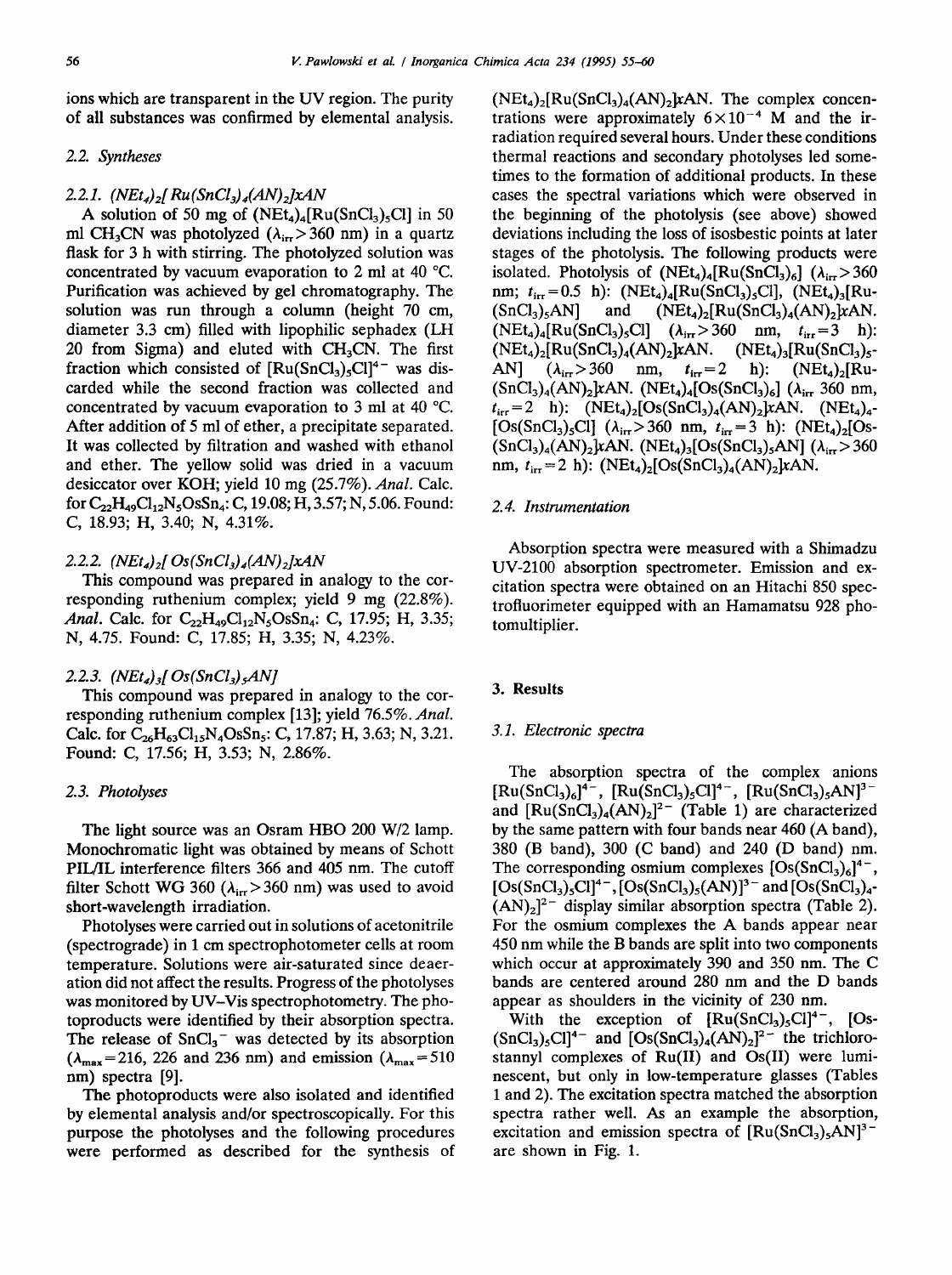ions which are transparent in the UV region. The purity of all substances was confirmed by elemental analysis.

# 2.2. *Syntheses*

## 2.2.1. *(NEt<sub>4</sub>)*<sub>2</sub>*[Ru*(SnCl<sub>3</sub>)<sub>4</sub>(AN)<sub>2</sub>*]xAN*

A solution of 50 mg of  $(NEt_4)_4[Ru(SnCl_3)_5Cl]$  in 50 ml CH<sub>3</sub>CN was photolyzed ( $\lambda_{ir} > 360$  nm) in a quartz flask for 3 h with stirring. The photolyzed solution was concentrated by vacuum evaporation to 2 ml at 40 °C. Purification was achieved by gel chromatography. The solution was run through a column (height 70 cm, diameter 3.3 cm) filled with lipophilic sephadex (LH 20 from Sigma) and eluted with  $CH<sub>3</sub>CN$ . The first fraction which consisted of  $[Ru(SnCl<sub>3</sub>)<sub>5</sub>Cl]<sup>4-</sup>$  was discarded while the second fraction was collected and concentrated by vacuum evaporation to 3 ml at 40 °C. After addition of 5 ml of ether, a precipitate separated. It was collected by filtration and washed with ethanol and ether. The yellow solid was dried in a vacuum desiccator over KOH; yield 10 mg (25.7%). *Anal.* Calc. for  $C_{22}H_{49}Cl_{12}N_5OsSn_4$ : C, 19.08; H, 3.57; N, 5.06. Found: C, 18.93; H, 3.40; N, 4.31%.

## 2.2.2.  $(NEt_4)_{2}$ [ Os(SnCl<sub>3</sub>)<sub>4</sub>(AN)<sub>2</sub>]xAN

This compound was prepared in analogy to the corresponding ruthenium complex; yield 9 mg (22.8%). *Anal.* Calc. for  $C_{22}H_{49}Cl_{12}N_5OsSn_4$ : C, 17.95; H, 3.35; N, 4.75. Found: C, 17.85; H, 3.35; N, 4.23%.

#### 2.2.3. *(NEt4)3[ Os(SnCI3) sAN]*

This compound was prepared in analogy to the corresponding ruthenium complex [13]; yield 76.5%. *Anal.*  Calc. for  $C_{26}H_{63}Cl_{15}N_4OsSn_5$ : C, 17.87; H, 3.63; N, 3.21. Found: C, 17.56; H, 3.53; N, 2.86%.

# *2.3. Photolyses*

The light source was an Osram HBO 200 W/2 lamp. Monochromatic light was obtained by means of Schott PIL/IL interference filters 366 and 405 nm. The cutoff filter Schott WG 360 ( $\lambda_{irr}$  > 360 nm) was used to avoid short-wavelength irradiation.

Photolyses were carried out in solutions of acetonitrile (spectrograde) in 1 cm spectrophotometer cells at room temperature. Solutions were air-saturated since deaeration did not affect the results. Progress of the photolyses was monitored by UV-Vis spectrophotometry. The photoproducts were identified by their absorption spectra. The release of  $SnCl<sub>3</sub><sup>-</sup>$  was detected by its absorption  $(\lambda_{\text{max}}=216, 226 \text{ and } 236 \text{ nm})$  and emission  $(\lambda_{\text{max}}=510$ nm) spectra [9].

The photoproducts were also isolated and identified by elemental analysis and/or spectroscopically. For this purpose the photolyses and the following procedures were performed as described for the synthesis of  $(NEt_4)_2[Ru(SnCl_3)_4(AN)_2kAN$ . The complex concentrations were approximately  $6 \times 10^{-4}$  M and the irradiation required several hours. Under these conditions thermal reactions and secondary photolyses led sometimes to the formation of additional products. In these cases the spectral variations which were observed in the beginning of the photolysis (see above) showed deviations including the loss of isosbestic points at later stages of the photolysis. The following products were isolated. Photolysis of  $(NEt_4)_4[Ru(SnCl_3)_6]$   $(\lambda_{irr} > 360$ nm;  $t_{irr}=0.5$  h):  $(NEt_4)_4[Ru(SnCl_3)_5Cl]$ ,  $(NEt_4)_3[Ru (SnCl<sub>3</sub>)<sub>5</sub>AN$  and  $(NEt<sub>4</sub>)<sub>2</sub>[Ru(SnCl<sub>3</sub>)<sub>4</sub>(AN)<sub>2</sub>]xAN.$  $(NEt_4)_4[Ru(SnCl_3)_5Cl]$   $(\lambda_{irr} > 360$  nm,  $t_{irr} = 3$  h):  $(NEt_4)_2[Ru(SnCl_3)_4(AN)_2]xAN.$   $(NEt_4)_3[Ru(SnCl_3)_5$ -AN]  $(\lambda_{irr} > 360 \text{ nm}, t_{irr} = 2 \text{ h}): (NEt_4)_2 [Ru (SnCl<sub>3</sub>)<sub>4</sub>(AN)<sub>2</sub>$ kAN. (NEt<sub>4</sub>)<sub>4</sub>[Os(SnCl<sub>3</sub>)<sub>6</sub>] ( $\lambda_{irr}$  360 nm,  $t_{irr}$  = 2 h): (NEt<sub>4</sub>)<sub>2</sub>[Os(SnCl<sub>3</sub>)<sub>4</sub>(AN)<sub>2</sub>]xAN. (NEt<sub>4</sub>)<sub>4</sub>- $[Os(SnCl<sub>3</sub>)<sub>5</sub>Cl]$  ( $\lambda_{irr} > 360$  nm,  $t_{irr} = 3$  h): (NEt<sub>4</sub>)<sub>2</sub>[Os- $(SnCl<sub>3</sub>)<sub>4</sub>(AN)<sub>2</sub>]xAN. (NEt<sub>4</sub>)<sub>3</sub>[Os(SnCl<sub>3</sub>)<sub>5</sub>AN] ( $\lambda_{irr}$  > 360)$ nm,  $t_{irr} = 2$  h):  $(NEt_4)_2[Os(SnCl_3)_4(AN)_2]xAN$ .

# *2.4. Instrumentation*

Absorption spectra were measured with a Shimadzu UV-2100 absorption spectrometer. Emission and excitation spectra were obtained on an Hitachi 850 spectrofluorimeter equipped with an Hamamatsu 928 photomultiplier.

# **3. Results**

#### *3.1. Electronic spectra*

The absorption spectra of the complex anions  $[Ru(SnCl<sub>3</sub>)<sub>6</sub>]<sup>4-</sup>, [Ru(SnCl<sub>3</sub>)<sub>5</sub>Cl]<sup>4-</sup>, [Ru(SnCl<sub>3</sub>)<sub>5</sub>AN]<sup>3</sup>$ and  $[Ru(SnCl<sub>3</sub>)<sub>4</sub>(AN)<sub>2</sub>]<sup>2-</sup>$  (Table 1) are characterized by the same pattern with four bands near 460 (A band), 380 (B band), 300 (C band) and 240 (D band) nm. The corresponding osmium complexes  $[Os(SnCl<sub>3</sub>)<sub>6</sub>]<sup>4-</sup>$ ,  $[Os(SnCl<sub>3</sub>)<sub>5</sub>Cl]<sup>4-</sup>, [Os(SnCl<sub>3</sub>)<sub>5</sub>(AN)]<sup>3-</sup> and [Os(SnCl<sub>3</sub>)<sub>4</sub> (AN)_2$ <sup>2-</sup> display similar absorption spectra (Table 2). For the osmium complexes the A bands appear near 450 nm while the B bands are split into two components which occur at approximately 390 and 350 nm. The C bands are centered around 280 nm and the D bands appear as shoulders in the vicinity of 230 nm.

With the exception of  $[Ru(SnCl<sub>3</sub>)<sub>5</sub>Cl<sup>4-</sup>, [Os (SnCl<sub>3</sub>)<sub>5</sub>Cl<sup>4-</sup>$  and  $[Os(SnCl<sub>3</sub>)<sub>4</sub>(AN)<sub>2</sub>]<sup>2-</sup>$  the trichlorostannyl complexes of Ru(II) and Os(II) were luminescent, but only in low-temperature glasses (Tables 1 and 2). The excitation spectra matched the absorption spectra rather well. As an example the absorption, excitation and emission spectra of  $\left[\text{Ru(SnCl<sub>3</sub>)<sub>5</sub>AN\right]$ <sup>3-</sup> are shown in Fig. 1.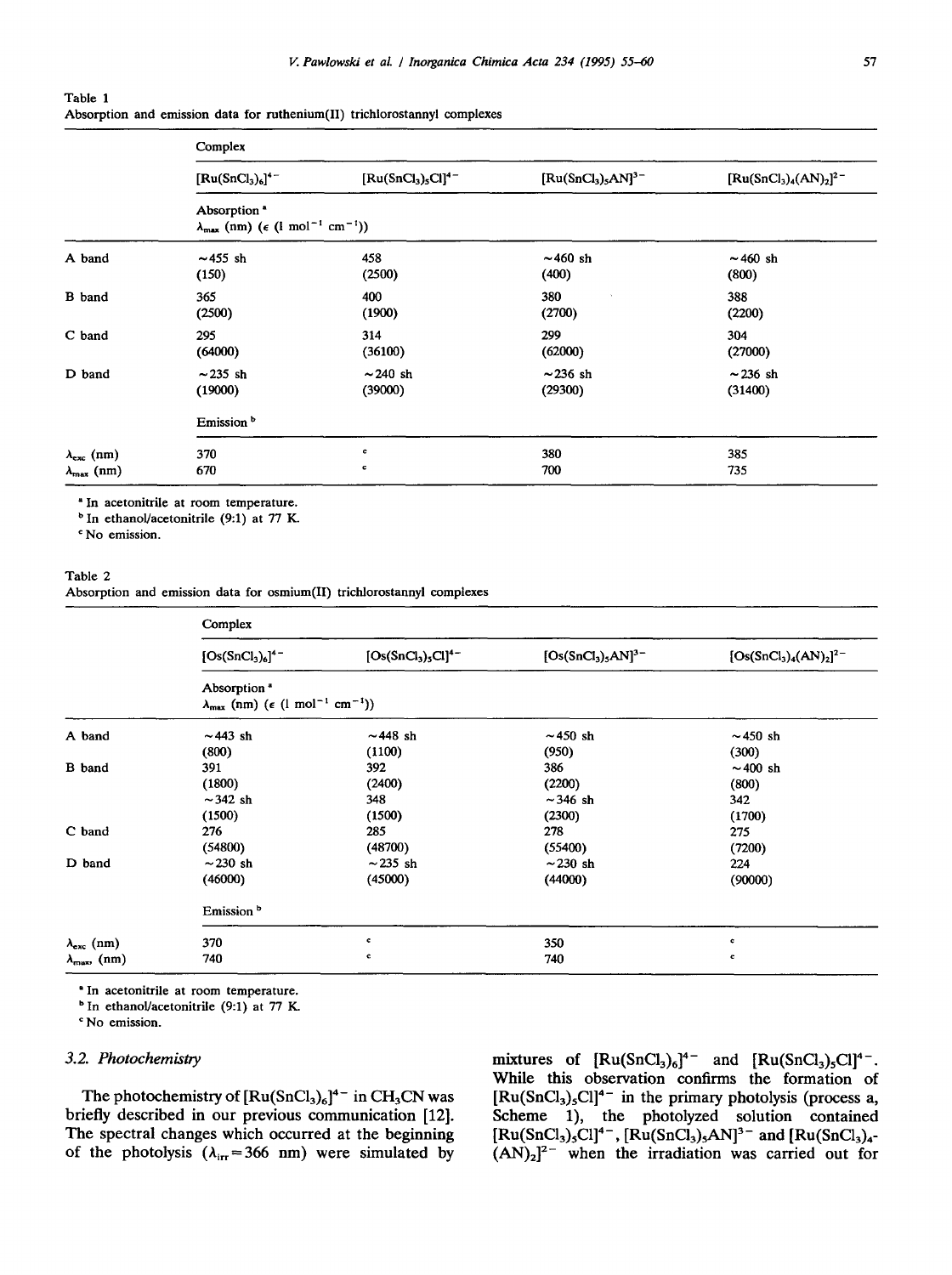| Table 1 |  |  |  |                                                                           |  |
|---------|--|--|--|---------------------------------------------------------------------------|--|
|         |  |  |  | Absorption and emission data for ruthenium(II) trichlorostannyl complexes |  |

|                                                   | Complex                                                                                                |                                       |                          |                         |  |  |  |  |
|---------------------------------------------------|--------------------------------------------------------------------------------------------------------|---------------------------------------|--------------------------|-------------------------|--|--|--|--|
|                                                   | $[Ru(SnCl3)6]4-$                                                                                       | $[\text{Ru(SnCl}_3)_5\text{Cl}]^{4-}$ | $[Ru(SnCl3)5AN]3$        | $[Ru(SnCl3)4(AN)2]2$    |  |  |  |  |
|                                                   | Absorption <sup>*</sup><br>$\lambda_{\max}$ (nm) ( $\epsilon$ (l mol <sup>-1</sup> cm <sup>-1</sup> )) |                                       |                          |                         |  |  |  |  |
| A band                                            | $\sim$ 455 sh<br>(150)                                                                                 | 458<br>(2500)                         | $\sim$ 460 sh<br>(400)   | $\sim$ 460 sh<br>(800)  |  |  |  |  |
| <b>B</b> band                                     | 365<br>(2500)                                                                                          | 400<br>(1900)                         | 380<br>(2700)            | 388<br>(2200)           |  |  |  |  |
| C band                                            | 295<br>(64000)                                                                                         | 314<br>(36100)                        | 299<br>(62000)           | 304<br>(27000)          |  |  |  |  |
| D band                                            | $\sim$ 235 sh<br>(19000)                                                                               | $\sim$ 240 sh<br>(39000)              | $\sim$ 236 sh<br>(29300) | $-236 \;$ sh<br>(31400) |  |  |  |  |
|                                                   | Emission <sup>b</sup>                                                                                  |                                       |                          |                         |  |  |  |  |
| $\lambda_{\rm exc}$ (nm)<br>$\lambda_{\max}$ (nm) | 370<br>670                                                                                             | c<br>c                                | 380<br>700               | 385<br>735              |  |  |  |  |

"In acetonitrile at room temperature.

 $<sup>b</sup>$  In ethanol/acetonitrile (9:1) at 77 K.</sup>

c No emission.

#### Table 2

Absorption and emission data for osmium(II) trichlorostannyi complexes

|                          | Complex                                                                                                      |                       |                    |                       |  |  |  |  |
|--------------------------|--------------------------------------------------------------------------------------------------------------|-----------------------|--------------------|-----------------------|--|--|--|--|
|                          | $[Os(SnCl3)6]4$                                                                                              | $[Os(SnCl3)5Cl]^{4-}$ | $[Os(SnCl3)5AN]3-$ | $[Os(SnCl3)4(AN)2]2-$ |  |  |  |  |
|                          | Absorption <sup>®</sup><br>$\lambda_{\text{max}}$ (nm) ( $\epsilon$ (1 mol <sup>-1</sup> cm <sup>-1</sup> )) |                       |                    |                       |  |  |  |  |
| A band                   | $\sim$ 443 sh                                                                                                | $\sim$ 448 sh         | $\sim$ 450 sh      | $\sim$ 450 sh         |  |  |  |  |
|                          | (800)                                                                                                        | (1100)                | (950)              | (300)                 |  |  |  |  |
| <b>B</b> band            | 391                                                                                                          | 392                   | 386                | $\sim$ 400 sh         |  |  |  |  |
|                          | (1800)                                                                                                       | (2400)                | (2200)             | (800)                 |  |  |  |  |
|                          | $\sim$ 342 sh                                                                                                | 348                   | $\sim$ 346 sh      | 342                   |  |  |  |  |
|                          | (1500)                                                                                                       | (1500)                | (2300)             | (1700)                |  |  |  |  |
| C band                   | 276                                                                                                          | 285                   | 278                | 275                   |  |  |  |  |
|                          | (54800)                                                                                                      | (48700)               | (55400)            | (7200)                |  |  |  |  |
| D band                   | $\sim$ 230 sh                                                                                                | $\sim$ 235 sh         | $\sim$ 230 sh      | 224                   |  |  |  |  |
|                          | (46000)                                                                                                      | (45000)               | (44000)            | (90000)               |  |  |  |  |
|                          | Emission <sup>b</sup>                                                                                        |                       |                    |                       |  |  |  |  |
| $\lambda_{\rm exc}$ (nm) | 370                                                                                                          | c                     | 350                | c                     |  |  |  |  |
| $\lambda_{\max}$ , (nm)  | 740                                                                                                          | c                     | 740                | c                     |  |  |  |  |

• In acetonitrile at room temperature.

b In ethanol/acetonitrile (9:1) at 77 K.

c No emission.

## *3.2. Photochemistry*

The photochemistry of  $\left[\text{Ru(SnCl_3)_6\right]^4}^-$  in CH<sub>3</sub>CN was briefly described in our previous communication [12]. The spectral changes which occurred at the beginning of the photolysis ( $\lambda_{irr}$ =366 nm) were simulated by

mixtures of  $\left[\text{Ru}(SnCl_3)_6\right]^4$ <sup>-</sup> and  $\left[\text{Ru}(SnCl_3)_5Cl\right]^4$ <sup>-</sup>. While this observation confirms the formation of **[Ru(SnCI3)5C1] 4-** in the primary photolysis (process a, Scheme 1), the photolyzed solution contained  $[Ru(SnCl_3)_5Cl]^{4-}$ ,  $[Ru(SnCl_3)_5AN]^{3-}$  and  $[Ru(SnCl_3)_4 (AN)_2]^2$ <sup>-</sup> when the irradiation was carried out for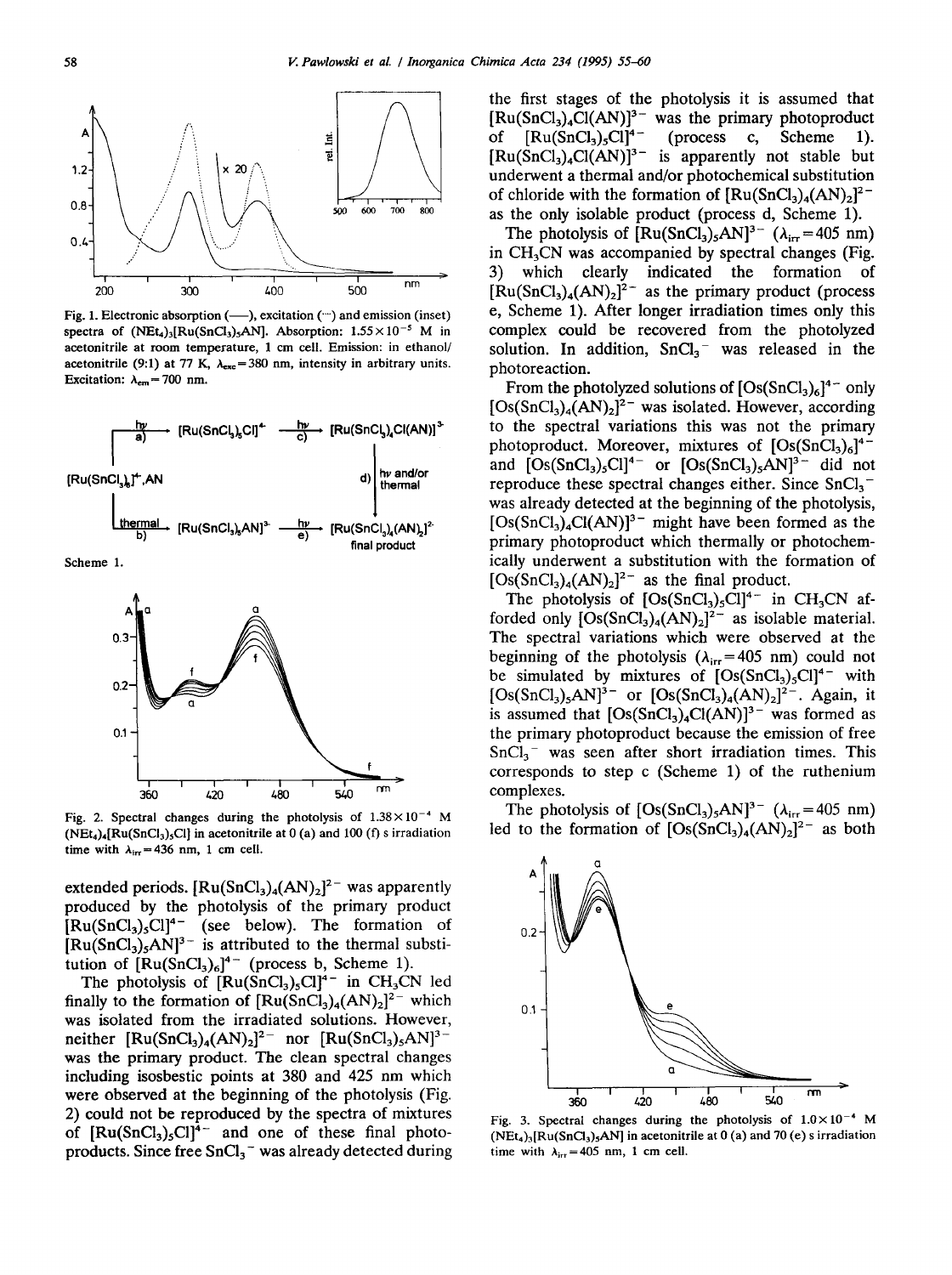

Fig. 1. Electronic absorption (--), excitation (") and emission (inset) spectra of  $(NEt_4)_3[Ru(SnCl_3)_5AN]$ . Absorption:  $1.55 \times 10^{-5}$  M in acetonitrile at room temperature, 1 cm cell. Emission: in ethanol/ acetonitrile (9:1) at 77 K,  $\lambda_{\text{exc}} = 380$  nm, intensity in arbitrary units. Excitation:  $\lambda_{em} = 700$  nm.



Scheme 1.



Fig. 2. Spectral changes during the photolysis of  $1.38 \times 10^{-4}$  M  $(NEt<sub>4</sub>)<sub>4</sub>[Ru(SnCl<sub>3</sub>)<sub>5</sub>Cl]$  in acetonitrile at 0 (a) and 100 (f) s irradiation time with  $\lambda_{irr}$  = 436 nm, 1 cm cell.

extended periods.  $[Ru(SnCl<sub>3</sub>)<sub>4</sub>(AN)<sub>2</sub>]<sup>2-</sup>$  was apparently produced by the photolysis of the primary product  $[Ru(SnCl<sub>3</sub>)<sub>5</sub>Cl]<sup>4-</sup>$  (see below). The formation of  $[Ru(SnCl<sub>3</sub>)<sub>5</sub>AN]<sup>3-</sup>$  is attributed to the thermal substitution of  $[Ru(SnCl<sub>3</sub>)<sub>6</sub>]<sup>4-</sup>$  (process b, Scheme 1).

The photolysis of  $[Ru(SnCl<sub>3</sub>)<sub>5</sub>Cl<sup>4-</sup>$  in CH<sub>3</sub>CN led finally to the formation of  $[Ru(SnCl<sub>3</sub>)<sub>4</sub>(AN)<sub>2</sub>]<sup>2-</sup>$  which was isolated from the irradiated solutions. However, neither  $\text{[Ru(SnCl<sub>3</sub>)<sub>4</sub>(AN)<sub>2</sub>]<sup>2-</sup> nor \text{[Ru(SnCl<sub>3</sub>)<sub>5</sub>AN]<sup>3</sup>$ was the primary product. The clean spectral changes including isosbestic points at 380 and 425 nm which were observed at the beginning of the photolysis (Fig. 2) could not be reproduced by the spectra of mixtures of  $[Ru(SnCl<sub>3</sub>)<sub>5</sub>Cl]<sup>4-</sup>$  and one of these final photoproducts. Since free  $SnCl<sub>3</sub><sup>-</sup>$  was already detected during the first stages of the photolysis it is assumed that  $[Ru(SnCl<sub>3</sub>)<sub>4</sub>Cl(AN)]<sup>3-</sup>$  was the primary photoproduct of  $[Ru(SnCl<sub>3</sub>)<sub>5</sub>Cl]<sup>4-</sup>$  (process c, Scheme 1).  $[Ru(SnCl<sub>3</sub>)<sub>4</sub>Cl(AN)]<sup>3-</sup>$  is apparently not stable but underwent a thermal and/or photochemical substitution of chloride with the formation of  $\text{Ru(SnCl}_3)_4(\text{AN})_2$ <sup>2-</sup> as the only isolable product (process d, Scheme 1).

The photolysis of  $\left[\text{Ru(SnCl<sub>3</sub>)<sub>5</sub>AN\right]^{3-}$  ( $\lambda_{irr} = 405$  nm) in  $CH<sub>3</sub>CN$  was accompanied by spectral changes (Fig. 3) which clearly indicated the formation of  $[Ru(SnCl<sub>3</sub>)<sub>4</sub>(AN)<sub>2</sub>]$ <sup>2-</sup> as the primary product (process e, Scheme 1). After longer irradiation times only this complex could be recovered from the photolyzed solution. In addition,  $SnCl<sub>3</sub>^-$  was released in the photoreaction.

From the photolyzed solutions of  $[Os(SnCl<sub>3</sub>)<sub>6</sub>]<sup>4-</sup>$  only  $[Os(SnCl<sub>3</sub>)<sub>4</sub>(AN)<sub>2</sub>]<sup>2-</sup>$  was isolated. However, according to the spectral variations this was not the primary photoproduct. Moreover, mixtures of  $[Os(SnCl<sub>3</sub>)<sub>6</sub>]<sup>4</sup>$ and  $[Os(SnCl<sub>3</sub>)<sub>5</sub>Cl]<sup>4-</sup>$  or  $[Os(SnCl<sub>3</sub>)<sub>5</sub>AN]<sup>3-</sup>$  did not reproduce these spectral changes either. Since  $SnCl<sub>3</sub>$ was already detected at the beginning of the photolysis,  $[Os(SnCl<sub>3</sub>)<sub>4</sub>Cl(AN)]<sup>3-</sup>$  might have been formed as the primary photoproduct which thermally or photochemically underwent a substitution with the formation of  $[Os(SnCl<sub>3</sub>)<sub>4</sub>(AN)<sub>2</sub>]$ <sup>2-</sup> as the final product.

The photolysis of  $[Os(SnCl<sub>3</sub>)<sub>5</sub>Cl]<sup>4-</sup>$  in CH<sub>3</sub>CN afforded only  $[Os(SnCl<sub>3</sub>)<sub>4</sub>(AN)<sub>2</sub>]<sup>2-</sup>$  as isolable material. The spectral variations which were observed at the beginning of the photolysis ( $\lambda_{irr} = 405$  nm) could not be simulated by mixtures of  $[Os(SnCl<sub>3</sub>)<sub>5</sub>Cl]<sup>4-</sup>$  with  $[Os(SnCl<sub>3</sub>)<sub>5</sub>AN]<sup>3-</sup>$  or  $[Os(SnCl<sub>3</sub>)<sub>4</sub>(AN)<sub>2</sub>]<sup>2-</sup>$ . Again, it is assumed that  $[Os(SnCl<sub>3</sub>)<sub>4</sub>Cl(AN)]<sup>3-</sup>$  was formed as the primary photoproduct because the emission of free  $SnCl<sub>3</sub>$ <sup>-</sup> was seen after short irradiation times. This corresponds to step c (Scheme 1) of the ruthenium complexes.

The photolysis of  $[Os(SnCl<sub>3</sub>)<sub>5</sub>AN]<sup>3-</sup> ( $\lambda_{irr} = 405$  nm)$ led to the formation of  $[Os(SnCl<sub>3</sub>)<sub>4</sub>(AN)<sub>2</sub>]<sup>2-</sup>$  as both



Fig. 3. Spectral changes during the photolysis of  $1.0 \times 10^{-4}$  M  $(NEt<sub>4</sub>)<sub>3</sub>[Ru(SnCl<sub>3</sub>)<sub>5</sub>AN]$  in acetonitrile at 0 (a) and 70 (e) s irradiation time with  $\lambda_{irr} = 405$  nm, 1 cm cell.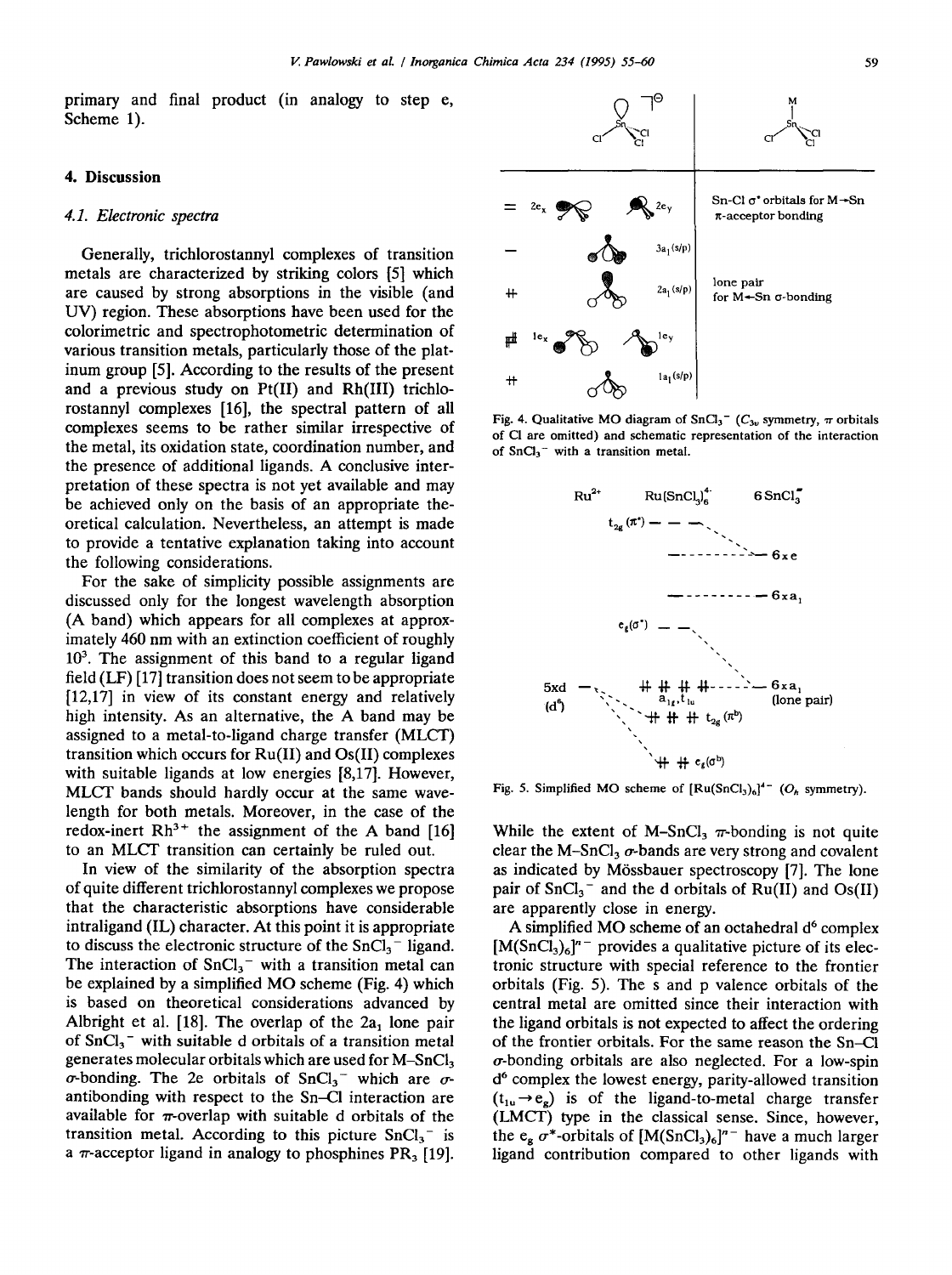primary and final product (in analogy to step e, Scheme 1).

## **4. Discussion**

#### *4.1. Electronic spectra*

Generally, trichlorostannyl complexes of transition metals are characterized by striking colors [5] which are caused by strong absorptions in the visible (and UV) region. These absorptions have been used for the colorimetric and spectrophotometric determination of various transition metals, particularly those of the platinum group [5]. According to the results of the present and a previous study on Pt(II) and Rh(III) trichlorostannyl complexes [16], the spectral pattern of all complexes seems to be rather similar irrespective of the metal, its oxidation state, coordination number, and the presence of additional ligands. A conclusive interpretation of these spectra is not yet available and may be achieved only on the basis of an appropriate theoretical calculation. Nevertheless, an attempt is made to provide a tentative explanation taking into account the following considerations.

For the sake of simplicity possible assignments are discussed only for the longest wavelength absorption (A band) which appears for all complexes at approximately 460 nm with an extinction coefficient of roughly  $10<sup>3</sup>$ . The assignment of this band to a regular ligand field (LF) [17] transition does not seem to be appropriate [12,17] in view of its constant energy and relatively high intensity. As an alternative, the A band may be assigned to a metal-to-ligand charge transfer (MLCT) transition which occurs for Ru(II) and Os(II) complexes with suitable ligands at low energies [8,17]. However, MLCT bands should hardly occur at the same wavelength for both metals. Moreover, in the case of the redox-inert  $Rh^{3+}$  the assignment of the A band [16] to an MLCT transition can certainly be ruled out.

In view of the similarity of the absorption spectra of quite different trichlorostannyl complexes we propose that the characteristic absorptions have considerable intraligand (IL) character. At this point it is appropriate to discuss the electronic structure of the  $SnCl<sub>3</sub><sup>-</sup>$  ligand. The interaction of  $SnCl<sub>3</sub><sup>-</sup>$  with a transition metal can be explained by a simplified MO scheme (Fig. 4) which is based on theoretical considerations advanced by Albright et al. [18]. The overlap of the  $2a_1$  lone pair of  $SnCl<sub>3</sub>$ <sup>-</sup> with suitable d orbitals of a transition metal generates molecular orbitals which are used for  $M-SnCl<sub>3</sub>$  $\sigma$ -bonding. The 2e orbitals of SnCl<sub>3</sub><sup>-</sup> which are  $\sigma$ antibonding with respect to the Sn-CI interaction are available for  $\pi$ -overlap with suitable d orbitals of the transition metal. According to this picture  $SnCl<sub>3</sub>$  is a  $\pi$ -acceptor ligand in analogy to phosphines PR<sub>3</sub> [19].



Fig. 4. Qualitative MO diagram of  $SnCl<sub>3</sub><sup>-</sup> (C<sub>3v</sub> symmetry,  $\pi$  orbitals$ of CI are omitted) and schematic representation of the interaction of  $SnCl<sub>3</sub>$ <sup>-</sup> with a transition metal.



Fig. 5. Simplified MO scheme of  $[\text{Ru(SnCl<sub>3</sub>)<sub>6</sub>}<sup>4-</sup> (O<sub>h</sub> symmetry).$ 

While the extent of M-SnCl<sub>3</sub>  $\pi$ -bonding is not quite clear the M-SnCl<sub>3</sub>  $\sigma$ -bands are very strong and covalent as indicated by M6ssbauer spectroscopy [7]. The lone pair of  $SnCl<sub>3</sub>^-$  and the d orbitals of Ru(II) and Os(II) are apparently close in energy.

A simplified MO scheme of an octahedral  $d<sup>6</sup>$  complex  $[M(SnCl<sub>3</sub>)<sub>6</sub>]<sup>n</sup>$  provides a qualitative picture of its electronic structure with special reference to the frontier orbitals (Fig. 5). The s and p valence orbitals of the central metal are omitted since their interaction with the ligand orbitals is not expected to affect the ordering of the frontier orbitals. For the same reason the Sn-CI  $\sigma$ -bonding orbitals are also neglected. For a low-spin d<sup>6</sup> complex the lowest energy, parity-allowed transition  $(t_{1u} \rightarrow e_g)$  is of the ligand-to-metal charge transfer (LMCT) type in the classical sense. Since, however, the  $e_{g} \sigma^{*}$ -orbitals of  $[M(SnCl_3)_{6}]^{n-}$  have a much larger ligand contribution compared to other ligands with